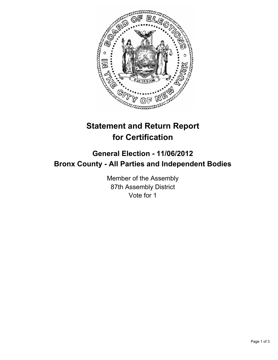

## **Statement and Return Report for Certification**

## **General Election - 11/06/2012 Bronx County - All Parties and Independent Bodies**

Member of the Assembly 87th Assembly District Vote for 1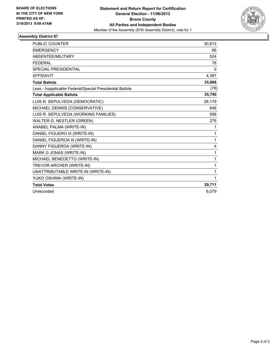

## **Assembly District 87**

| <b>PUBLIC COUNTER</b>                                    | 30,813       |
|----------------------------------------------------------|--------------|
| <b>EMERGENCY</b>                                         | 66           |
| <b>ABSENTEE/MILITARY</b>                                 | 524          |
| <b>FEDERAL</b>                                           | 78           |
| <b>SPECIAL PRESIDENTIAL</b>                              | 0            |
| <b>AFFIDAVIT</b>                                         | 4,387        |
| <b>Total Ballots</b>                                     | 35,868       |
| Less - Inapplicable Federal/Special Presidential Ballots | (78)         |
| <b>Total Applicable Ballots</b>                          | 35,790       |
| LUIS R. SEPULVEDA (DEMOCRATIC)                           | 28,179       |
| MICHAEL DENNIS (CONSERVATIVE)                            | 646          |
| LUIS R. SEPULVEDA (WORKING FAMILIES)                     | 598          |
| WALTER G. NESTLER (GREEN)                                | 276          |
| ANABEL PALMA (WRITE-IN)                                  | 1            |
| DANIEL FIGUERO III (WRITE-IN)                            | 1            |
| DANIEL FIGUEROA III (WRITE-IN)                           | $\mathbf{1}$ |
| DANNY FIGUEROA (WRITE-IN)                                | 4            |
| MARK G JONAS (WRITE-IN)                                  | 1            |
| MICHAEL BENEDETTO (WRITE-IN)                             | 1            |
| TREVOR ARCHER (WRITE-IN)                                 | 1            |
| UNATTRIBUTABLE WRITE-IN (WRITE-IN)                       | 1            |
| YUKO OSHIMA (WRITE-IN)                                   | 1            |
| <b>Total Votes</b>                                       | 29,711       |
| Unrecorded                                               | 6,079        |